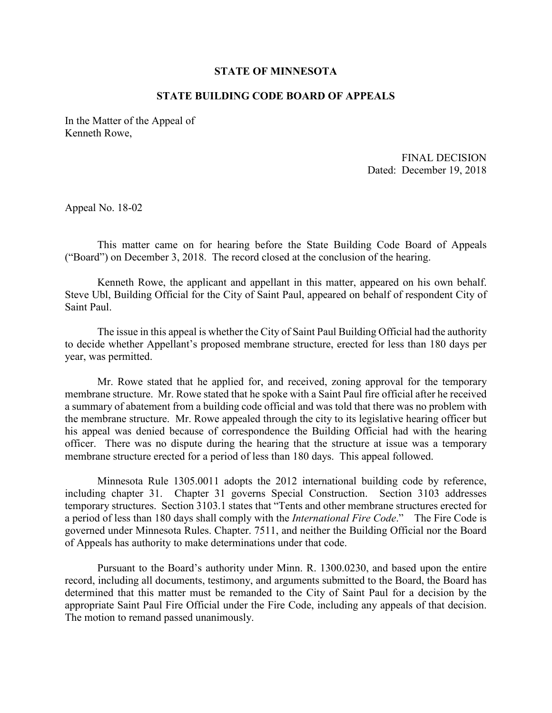## **STATE OF MINNESOTA**

## **STATE BUILDING CODE BOARD OF APPEALS**

In the Matter of the Appeal of Kenneth Rowe,

 Dated: December 19, 2018 FINAL DECISION

Appeal No. 18-02

This matter came on for hearing before the State Building Code Board of Appeals ("Board") on December 3, 2018. The record closed at the conclusion of the hearing.

Kenneth Rowe, the applicant and appellant in this matter, appeared on his own behalf. Steve Ubl, Building Official for the City of Saint Paul, appeared on behalf of respondent City of Saint Paul.

The issue in this appeal is whether the City of Saint Paul Building Official had the authority to decide whether Appellant's proposed membrane structure, erected for less than 180 days per year, was permitted.

 officer. There was no dispute during the hearing that the structure at issue was a temporary membrane structure erected for a period of less than 180 days. This appeal followed. Mr. Rowe stated that he applied for, and received, zoning approval for the temporary membrane structure. Mr. Rowe stated that he spoke with a Saint Paul fire official after he received a summary of abatement from a building code official and was told that there was no problem with the membrane structure. Mr. Rowe appealed through the city to its legislative hearing officer but his appeal was denied because of correspondence the Building Official had with the hearing

 Minnesota Rule 1305.0011 adopts the 2012 international building code by reference, including chapter 31. Chapter 31 governs Special Construction. Section 3103 addresses governed under Minnesota Rules. Chapter. 7511, and neither the Building Official nor the Board of Appeals has authority to make determinations under that code. temporary structures. Section 3103.1 states that "Tents and other membrane structures erected for a period of less than 180 days shall comply with the *International Fire Code*." The Fire Code is

 record, including all documents, testimony, and arguments submitted to the Board, the Board has Pursuant to the Board's authority under Minn. R. 1300.0230, and based upon the entire determined that this matter must be remanded to the City of Saint Paul for a decision by the appropriate Saint Paul Fire Official under the Fire Code, including any appeals of that decision. The motion to remand passed unanimously.